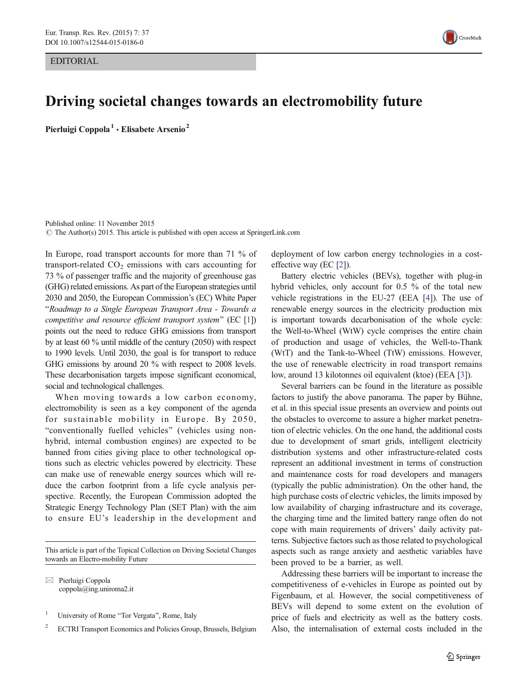EDITORIAL



## Driving societal changes towards an electromobility future

Pierluigi Coppola<sup>1</sup> · Elisabete Arsenio<sup>2</sup>

Published online: 11 November 2015  $\odot$  The Author(s) 2015. This article is published with open access at SpringerLink.com

In Europe, road transport accounts for more than 71 % of transport-related  $CO<sub>2</sub>$  emissions with cars accounting for 73 % of passenger traffic and the majority of greenhouse gas (GHG) related emissions. As part of the European strategies until 2030 and 2050, the European Commission's (EC) White Paper "Roadmap to a Single European Transport Area - Towards a competitive and resource efficient transport system" (EC  $[1]$ ) points out the need to reduce GHG emissions from transport by at least 60 % until middle of the century (2050) with respect to 1990 levels. Until 2030, the goal is for transport to reduce GHG emissions by around 20 % with respect to 2008 levels. These decarbonisation targets impose significant economical, social and technological challenges.

When moving towards a low carbon economy, electromobility is seen as a key component of the agenda for sustainable mobility in Europe. By 2050, "conventionally fuelled vehicles" (vehicles using nonhybrid, internal combustion engines) are expected to be banned from cities giving place to other technological options such as electric vehicles powered by electricity. These can make use of renewable energy sources which will reduce the carbon footprint from a life cycle analysis perspective. Recently, the European Commission adopted the Strategic Energy Technology Plan (SET Plan) with the aim to ensure EU's leadership in the development and

This article is part of the Topical Collection on Driving Societal Changes towards an Electro-mobility Future

 $\boxtimes$  Pierluigi Coppola coppola@ing.uniroma2.it

<sup>1</sup> University of Rome "Tor Vergata", Rome, Italy

<sup>2</sup> ECTRI Transport Economics and Policies Group, Brussels, Belgium

deployment of low carbon energy technologies in a costeffective way (EC [[2](#page-1-0)]).

Battery electric vehicles (BEVs), together with plug-in hybrid vehicles, only account for 0.5 % of the total new vehicle registrations in the EU-27 (EEA [\[4](#page-1-0)]). The use of renewable energy sources in the electricity production mix is important towards decarbonisation of the whole cycle: the Well-to-Wheel (WtW) cycle comprises the entire chain of production and usage of vehicles, the Well-to-Thank (WtT) and the Tank-to-Wheel (TtW) emissions. However, the use of renewable electricity in road transport remains low, around 13 kilotonnes oil equivalent (ktoe) (EEA [\[3](#page-1-0)]).

Several barriers can be found in the literature as possible factors to justify the above panorama. The paper by Bühne, et al. in this special issue presents an overview and points out the obstacles to overcome to assure a higher market penetration of electric vehicles. On the one hand, the additional costs due to development of smart grids, intelligent electricity distribution systems and other infrastructure-related costs represent an additional investment in terms of construction and maintenance costs for road developers and managers (typically the public administration). On the other hand, the high purchase costs of electric vehicles, the limits imposed by low availability of charging infrastructure and its coverage, the charging time and the limited battery range often do not cope with main requirements of drivers' daily activity patterns. Subjective factors such as those related to psychological aspects such as range anxiety and aesthetic variables have been proved to be a barrier, as well.

Addressing these barriers will be important to increase the competitiveness of e-vehicles in Europe as pointed out by Figenbaum, et al. However, the social competitiveness of BEVs will depend to some extent on the evolution of price of fuels and electricity as well as the battery costs. Also, the internalisation of external costs included in the